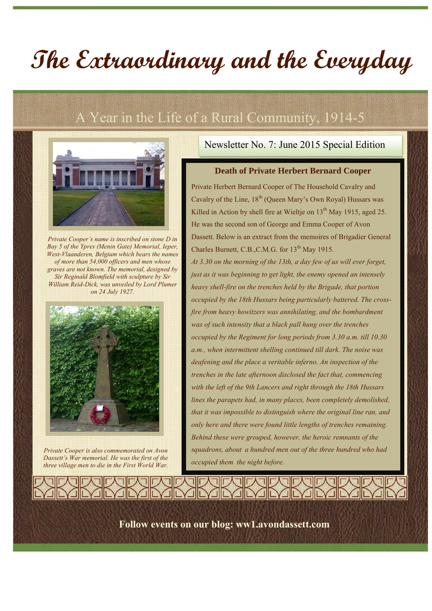# **The Extraordinary and the Everyday**

## A Year in the Life of a Rural Community, 1914-5



*Private Cooper's name is inscribed on stone D in Bay 5 of the Ypres (Menin Gate) Memorial, Ieper, West-Vlaanderen, Belgium which bears the names of more than 54,000 officers and men whose graves are not known. The memorial, designed by Sir Reginald Blomfield with sculpture by Sir William Reid-Dick, was unveiled by Lord Plumer on 24 July 1927.*



*Private Cooper is also commemorated on Avon Dassett's War memorial. He was the first of the three village men to die in the First World War.*

#### Newsletter No. 7: June 2015 Special Edition

#### **Death of Private Herbert Bernard Cooper**

Private Herbert Bernard Cooper of The Household Cavalry and Cavalry of the Line,  $18<sup>th</sup>$  (Queen Mary's Own Royal) Hussars was Killed in Action by shell fire at Wieltje on  $13<sup>th</sup>$  May 1915, aged 25. He was the second son of George and Emma Cooper of Avon Dassett. Below is an extract from the memoires of Brigadier General Charles Burnett, C.B., C.M.G. for 13<sup>th</sup> May 1915. *At 3.30 on the morning of the 13th, a day few of us will ever forget, just as it was beginning to get light, the enemy opened an intensely heavy shell-fire on the trenches held by the Brigade, that portion occupied by the 18th Hussars being particularly battered. The crossfire from heavy howitzers was annihilating, and the bombardment was of such intensity that a black pall hung over the trenches occupied by the Regiment for long periods from 3.30 a.m. till 10.30 a.m., when intermittent shelling continued till dark. The noise was deafening and the place a veritable inferno. An inspection of the trenches in the late afternoon disclosed the fact that, commencing with the left of the 9th Lancers and right through the 18th Hussars lines the parapets had, in many places, been completely demolished, that it was impossible to distinguish where the original line ran, and only here and there were found little lengths of trenches remaining. Behind these were grouped, however, the heroic remnants of the squadrons, about a hundred men out of the three hundred who had occupied them the night before.*

**Follow events on our blog: ww1.avondassett.com**